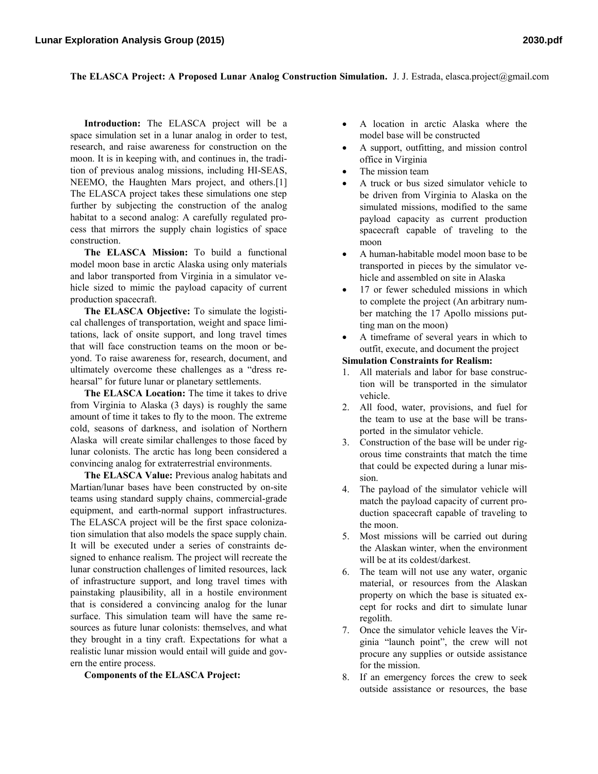## **The ELASCA Project: A Proposed Lunar Analog Construction Simulation.** J. J. Estrada, elasca.project@gmail.com

**Introduction:** The ELASCA project will be a space simulation set in a lunar analog in order to test, research, and raise awareness for construction on the moon. It is in keeping with, and continues in, the tradition of previous analog missions, including HI-SEAS, NEEMO, the Haughten Mars project, and others.[1] The ELASCA project takes these simulations one step further by subjecting the construction of the analog habitat to a second analog: A carefully regulated process that mirrors the supply chain logistics of space construction.

**The ELASCA Mission:** To build a functional model moon base in arctic Alaska using only materials and labor transported from Virginia in a simulator vehicle sized to mimic the payload capacity of current production spacecraft.

**The ELASCA Objective:** To simulate the logistical challenges of transportation, weight and space limitations, lack of onsite support, and long travel times that will face construction teams on the moon or beyond. To raise awareness for, research, document, and ultimately overcome these challenges as a "dress rehearsal" for future lunar or planetary settlements.

**The ELASCA Location:** The time it takes to drive from Virginia to Alaska (3 days) is roughly the same amount of time it takes to fly to the moon. The extreme cold, seasons of darkness, and isolation of Northern Alaska will create similar challenges to those faced by lunar colonists. The arctic has long been considered a convincing analog for extraterrestrial environments.

**The ELASCA Value:** Previous analog habitats and Martian/lunar bases have been constructed by on-site teams using standard supply chains, commercial-grade equipment, and earth-normal support infrastructures. The ELASCA project will be the first space colonization simulation that also models the space supply chain. It will be executed under a series of constraints designed to enhance realism. The project will recreate the lunar construction challenges of limited resources, lack of infrastructure support, and long travel times with painstaking plausibility, all in a hostile environment that is considered a convincing analog for the lunar surface. This simulation team will have the same resources as future lunar colonists: themselves, and what they brought in a tiny craft. Expectations for what a realistic lunar mission would entail will guide and govern the entire process.

## **Components of the ELASCA Project:**

- A location in arctic Alaska where the model base will be constructed
- A support, outfitting, and mission control office in Virginia
- The mission team
- A truck or bus sized simulator vehicle to be driven from Virginia to Alaska on the simulated missions, modified to the same payload capacity as current production spacecraft capable of traveling to the moon
- A human-habitable model moon base to be transported in pieces by the simulator vehicle and assembled on site in Alaska
- 17 or fewer scheduled missions in which to complete the project (An arbitrary number matching the 17 Apollo missions putting man on the moon)
- A timeframe of several years in which to outfit, execute, and document the project

## **Simulation Constraints for Realism:**

- 1. All materials and labor for base construction will be transported in the simulator vehicle.
- 2. All food, water, provisions, and fuel for the team to use at the base will be transported in the simulator vehicle.
- 3. Construction of the base will be under rigorous time constraints that match the time that could be expected during a lunar mission.
- 4. The payload of the simulator vehicle will match the payload capacity of current production spacecraft capable of traveling to the moon.
- 5. Most missions will be carried out during the Alaskan winter, when the environment will be at its coldest/darkest.
- 6. The team will not use any water, organic material, or resources from the Alaskan property on which the base is situated except for rocks and dirt to simulate lunar regolith.
- 7. Once the simulator vehicle leaves the Virginia "launch point", the crew will not procure any supplies or outside assistance for the mission.
- 8. If an emergency forces the crew to seek outside assistance or resources, the base